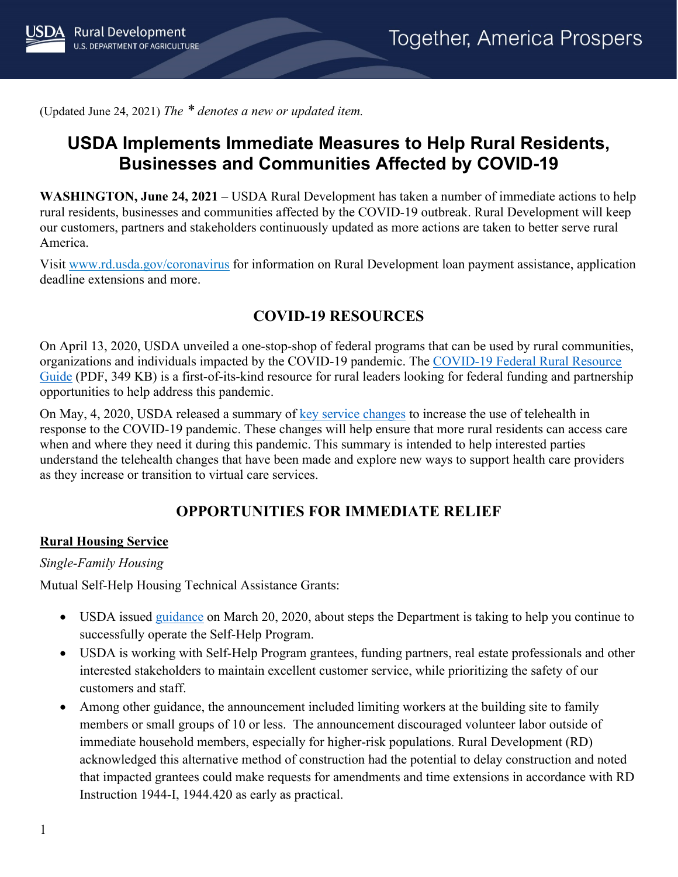(Updated June 24, 2021) *The \* denotes a new or updated item.*

# **USDA Implements Immediate Measures to Help Rural Residents, Businesses and Communities Affected by COVID-19**

**WASHINGTON, June 24, 2021** – USDA Rural Development has taken a number of immediate actions to help rural residents, businesses and communities affected by the COVID-19 outbreak. Rural Development will keep our customers, partners and stakeholders continuously updated as more actions are taken to better serve rural America.

Visit [www.rd.usda.gov/coronavirus](https://www.rd.usda.gov/coronavirus) for information on Rural Development loan payment assistance, application deadline extensions and more.

### **COVID-19 RESOURCES**

On April 13, 2020, USDA unveiled a one-stop-shop of federal programs that can be used by rural communities, organizations and individuals impacted by the COVID-19 pandemic. The [COVID-19 Federal Rural Resource](https://www.rd.usda.gov/sites/default/files/USDA_COVID-19_Fed_Rural_Resource_Guide.pdf)  [Guide](https://www.rd.usda.gov/sites/default/files/USDA_COVID-19_Fed_Rural_Resource_Guide.pdf) (PDF, 349 KB) is a first-of-its-kind resource for rural leaders looking for federal funding and partnership opportunities to help address this pandemic.

On May, 4, 2020, USDA released a summary of [key service changes](https://www.rd.usda.gov/sites/default/files/RD_RuralTelehealthFactSheet_20200501.pdf) to increase the use of telehealth in response to the COVID-19 pandemic. These changes will help ensure that more rural residents can access care when and where they need it during this pandemic. This summary is intended to help interested parties understand the telehealth changes that have been made and explore new ways to support health care providers as they increase or transition to virtual care services.

## **OPPORTUNITIES FOR IMMEDIATE RELIEF**

#### **Rural Housing Service**

#### *Single-Family Housing*

Mutual Self-Help Housing Technical Assistance Grants:

- USDA issued [guidance](https://www.rd.usda.gov/sites/default/files/USDA_SA_COVID19_SFHContinuity03202020.pdf) on March 20, 2020, about steps the Department is taking to help you continue to successfully operate the Self-Help Program.
- USDA is working with Self-Help Program grantees, funding partners, real estate professionals and other interested stakeholders to maintain excellent customer service, while prioritizing the safety of our customers and staff.
- Among other guidance, the announcement included limiting workers at the building site to family members or small groups of 10 or less. The announcement discouraged volunteer labor outside of immediate household members, especially for higher-risk populations. Rural Development (RD) acknowledged this alternative method of construction had the potential to delay construction and noted that impacted grantees could make requests for amendments and time extensions in accordance with RD Instruction 1944-I, 1944.420 as early as practical.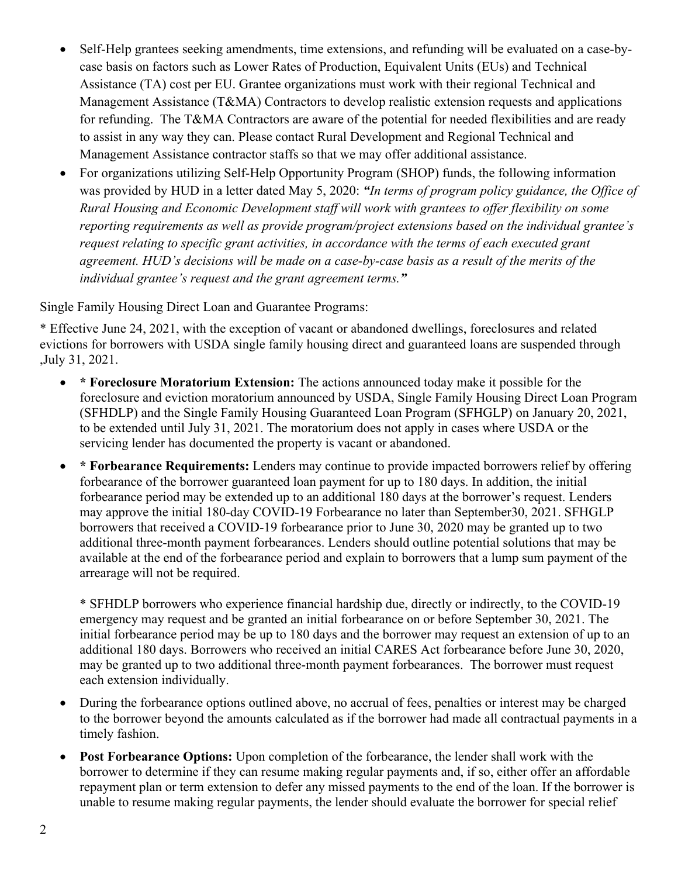- Self-Help grantees seeking amendments, time extensions, and refunding will be evaluated on a case-bycase basis on factors such as Lower Rates of Production, Equivalent Units (EUs) and Technical Assistance (TA) cost per EU. Grantee organizations must work with their regional Technical and Management Assistance (T&MA) Contractors to develop realistic extension requests and applications for refunding. The T&MA Contractors are aware of the potential for needed flexibilities and are ready to assist in any way they can. Please contact Rural Development and Regional Technical and Management Assistance contractor staffs so that we may offer additional assistance.
- For organizations utilizing Self-Help Opportunity Program (SHOP) funds, the following information was provided by HUD in a letter dated May 5, 2020: *"In terms of program policy guidance, the Office of Rural Housing and Economic Development staff will work with grantees to offer flexibility on some reporting requirements as well as provide program/project extensions based on the individual grantee's request relating to specific grant activities, in accordance with the terms of each executed grant agreement. HUD's decisions will be made on a case-by-case basis as a result of the merits of the individual grantee's request and the grant agreement terms."*

Single Family Housing Direct Loan and Guarantee Programs:

\* Effective June 24, 2021, with the exception of vacant or abandoned dwellings, foreclosures and related evictions for borrowers with USDA single family housing direct and guaranteed loans are suspended through ,July 31, 2021.

- **\* Foreclosure Moratorium Extension:** The actions announced today make it possible for the foreclosure and eviction moratorium announced by USDA, Single Family Housing Direct Loan Program (SFHDLP) and the Single Family Housing Guaranteed Loan Program (SFHGLP) on January 20, 2021, to be extended until July 31, 2021. The moratorium does not apply in cases where USDA or the servicing lender has documented the property is vacant or abandoned.
- **\* Forbearance Requirements:** Lenders may continue to provide impacted borrowers relief by offering forbearance of the borrower guaranteed loan payment for up to 180 days. In addition, the initial forbearance period may be extended up to an additional 180 days at the borrower's request. Lenders may approve the initial 180-day COVID-19 Forbearance no later than September30, 2021. SFHGLP borrowers that received a COVID-19 forbearance prior to June 30, 2020 may be granted up to two additional three-month payment forbearances. Lenders should outline potential solutions that may be available at the end of the forbearance period and explain to borrowers that a lump sum payment of the arrearage will not be required.

\* SFHDLP borrowers who experience financial hardship due, directly or indirectly, to the COVID-19 emergency may request and be granted an initial forbearance on or before September 30, 2021. The initial forbearance period may be up to 180 days and the borrower may request an extension of up to an additional 180 days. Borrowers who received an initial CARES Act forbearance before June 30, 2020, may be granted up to two additional three-month payment forbearances. The borrower must request each extension individually.

- During the forbearance options outlined above, no accrual of fees, penalties or interest may be charged to the borrower beyond the amounts calculated as if the borrower had made all contractual payments in a timely fashion.
- **Post Forbearance Options:** Upon completion of the forbearance, the lender shall work with the borrower to determine if they can resume making regular payments and, if so, either offer an affordable repayment plan or term extension to defer any missed payments to the end of the loan. If the borrower is unable to resume making regular payments, the lender should evaluate the borrower for special relief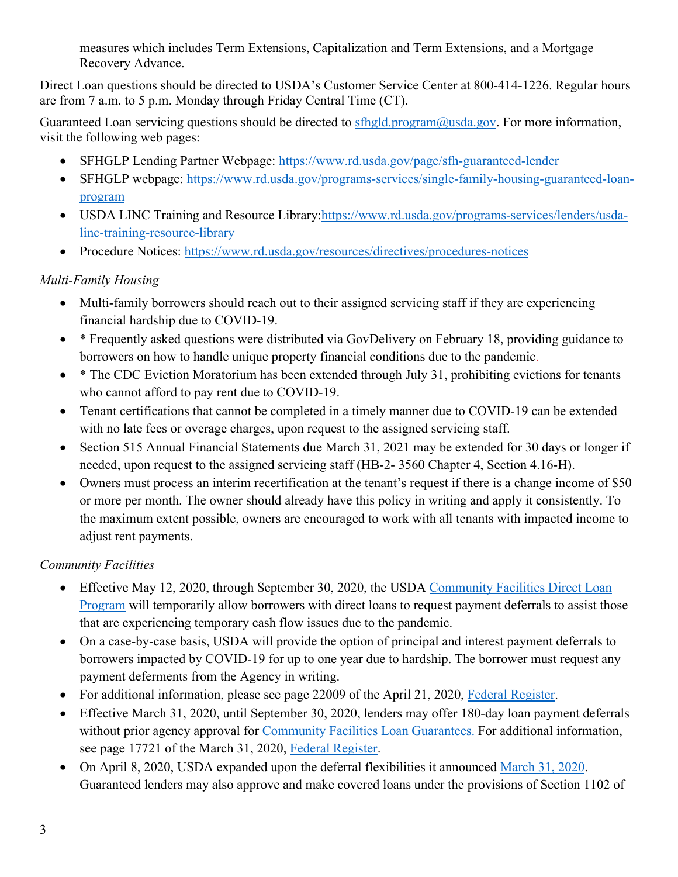measures which includes Term Extensions, Capitalization and Term Extensions, and a Mortgage Recovery Advance.

Direct Loan questions should be directed to USDA's Customer Service Center at 800-414-1226. Regular hours are from 7 a.m. to 5 p.m. Monday through Friday Central Time (CT).

Guaranteed Loan servicing questions should be directed to sthgld.program@usda.gov. For more information, visit the following web pages:

- SFHGLP Lending Partner Webpage:<https://www.rd.usda.gov/page/sfh-guaranteed-lender>
- SFHGLP webpage: [https://www.rd.usda.gov/programs-services/single-family-housing-guaranteed-loan](https://www.rd.usda.gov/programs-services/single-family-housing-guaranteed-loan-program)[program](https://www.rd.usda.gov/programs-services/single-family-housing-guaranteed-loan-program)
- USDA LINC Training and Resource Library[:https://www.rd.usda.gov/programs-services/lenders/usda](https://www.rd.usda.gov/programs-services/lenders/usda-linc-training-resource-library)[linc-training-resource-library](https://www.rd.usda.gov/programs-services/lenders/usda-linc-training-resource-library)
- Procedure Notices:<https://www.rd.usda.gov/resources/directives/procedures-notices>

#### *Multi-Family Housing*

- Multi-family borrowers should reach out to their assigned servicing staff if they are experiencing financial hardship due to COVID-19.
- \* Frequently asked questions were distributed via GovDelivery on February 18, providing guidance to borrowers on how to handle unique property financial conditions due to the pandemic.
- \* The CDC Eviction Moratorium has been extended through July 31, prohibiting evictions for tenants who cannot afford to pay rent due to COVID-19.
- Tenant certifications that cannot be completed in a timely manner due to COVID-19 can be extended with no late fees or overage charges, upon request to the assigned servicing staff.
- Section 515 Annual Financial Statements due March 31, 2021 may be extended for 30 days or longer if needed, upon request to the assigned servicing staff (HB-2- 3560 Chapter 4, Section 4.16-H).
- Owners must process an interim recertification at the tenant's request if there is a change income of \$50 or more per month. The owner should already have this policy in writing and apply it consistently. To the maximum extent possible, owners are encouraged to work with all tenants with impacted income to adjust rent payments.

### *Community Facilities*

- Effective May 12, 2020, through September 30, 2020, the USDA Community Facilities Direct Loan [Program](https://www.rd.usda.gov/programs-services/community-facilities-direct-loan-grant-program) will temporarily allow borrowers with direct loans to request payment deferrals to assist those that are experiencing temporary cash flow issues due to the pandemic.
- On a case-by-case basis, USDA will provide the option of principal and interest payment deferrals to borrowers impacted by COVID-19 for up to one year due to hardship. The borrower must request any payment deferments from the Agency in writing.
- For additional information, please see page 22009 of the April 21, 2020, [Federal Register.](https://www.govinfo.gov/content/pkg/FR-2020-04-21/pdf/2020-08429.pdf)
- Effective March 31, 2020, until September 30, 2020, lenders may offer 180-day loan payment deferrals without prior agency approval for [Community Facilities Loan Guarantees.](https://www.rd.usda.gov/programs-services/community-facilities-guaranteed-loan-program) For additional information, see page 17721 of the March 31, 2020, [Federal Register.](https://www.govinfo.gov/content/pkg/FR-2020-03-31/pdf/2020-06706.pdf)
- On April 8, 2020, USDA expanded upon the deferral flexibilities it announced [March 31, 2020.](https://www.rd.usda.gov/sites/default/files/USDA_RD_SA_COVID19_Guarantee_Loan_Deferral_Payments03312020.pdf) Guaranteed lenders may also approve and make covered loans under the provisions of Section 1102 of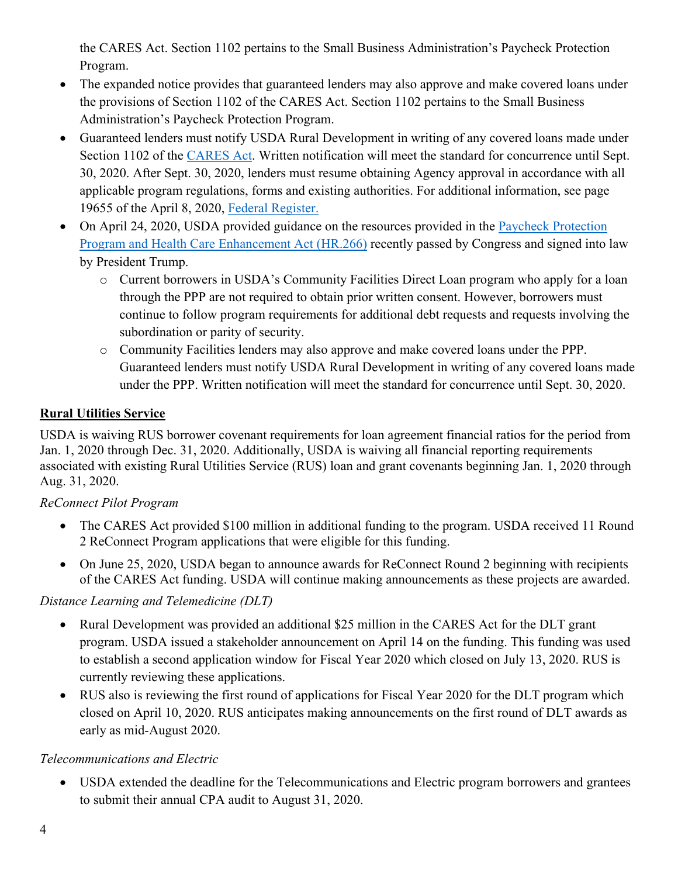the CARES Act. Section 1102 pertains to the Small Business Administration's Paycheck Protection Program.

- The expanded notice provides that guaranteed lenders may also approve and make covered loans under the provisions of Section 1102 of the CARES Act. Section 1102 pertains to the Small Business Administration's Paycheck Protection Program.
- Guaranteed lenders must notify USDA Rural Development in writing of any covered loans made under Section 1102 of the [CARES Act.](https://www.congress.gov/bill/116th-congress/senate-bill/3548/text) Written notification will meet the standard for concurrence until Sept. 30, 2020. After Sept. 30, 2020, lenders must resume obtaining Agency approval in accordance with all applicable program regulations, forms and existing authorities. For additional information, see page 19655 of the April 8, 2020, [Federal Register.](https://www.govinfo.gov/content/pkg/FR-2020-04-08/pdf/2020-07487.pdf)
- On April 24, 2020, USDA provided guidance on the resources provided in the Paycheck Protection [Program and Health Care Enhancement Act \(HR.266\)](https://www.congress.gov/bill/116th-congress/house-bill/266?q=%7B%22search%22%3A%5B%22HR+266%22%5D%7D&s=1&r=1) recently passed by Congress and signed into law by President Trump.
	- o Current borrowers in USDA's Community Facilities Direct Loan program who apply for a loan through the PPP are not required to obtain prior written consent. However, borrowers must continue to follow program requirements for additional debt requests and requests involving the subordination or parity of security.
	- o Community Facilities lenders may also approve and make covered loans under the PPP. Guaranteed lenders must notify USDA Rural Development in writing of any covered loans made under the PPP. Written notification will meet the standard for concurrence until Sept. 30, 2020.

### **Rural Utilities Service**

USDA is waiving RUS borrower covenant requirements for loan agreement financial ratios for the period from Jan. 1, 2020 through Dec. 31, 2020. Additionally, USDA is waiving all financial reporting requirements associated with existing Rural Utilities Service (RUS) loan and grant covenants beginning Jan. 1, 2020 through Aug. 31, 2020.

#### *ReConnect Pilot Program*

- The CARES Act provided \$100 million in additional funding to the program. USDA received 11 Round 2 ReConnect Program applications that were eligible for this funding.
- On June 25, 2020, USDA began to announce awards for ReConnect Round 2 beginning with recipients of the CARES Act funding. USDA will continue making announcements as these projects are awarded.

### *Distance Learning and Telemedicine (DLT)*

- Rural Development was provided an additional \$25 million in the CARES Act for the DLT grant program. USDA issued a stakeholder announcement on April 14 on the funding. This funding was used to establish a second application window for Fiscal Year 2020 which closed on July 13, 2020. RUS is currently reviewing these applications.
- RUS also is reviewing the first round of applications for Fiscal Year 2020 for the DLT program which closed on April 10, 2020. RUS anticipates making announcements on the first round of DLT awards as early as mid-August 2020.

#### *Telecommunications and Electric*

• USDA extended the deadline for the Telecommunications and Electric program borrowers and grantees to submit their annual CPA audit to August 31, 2020.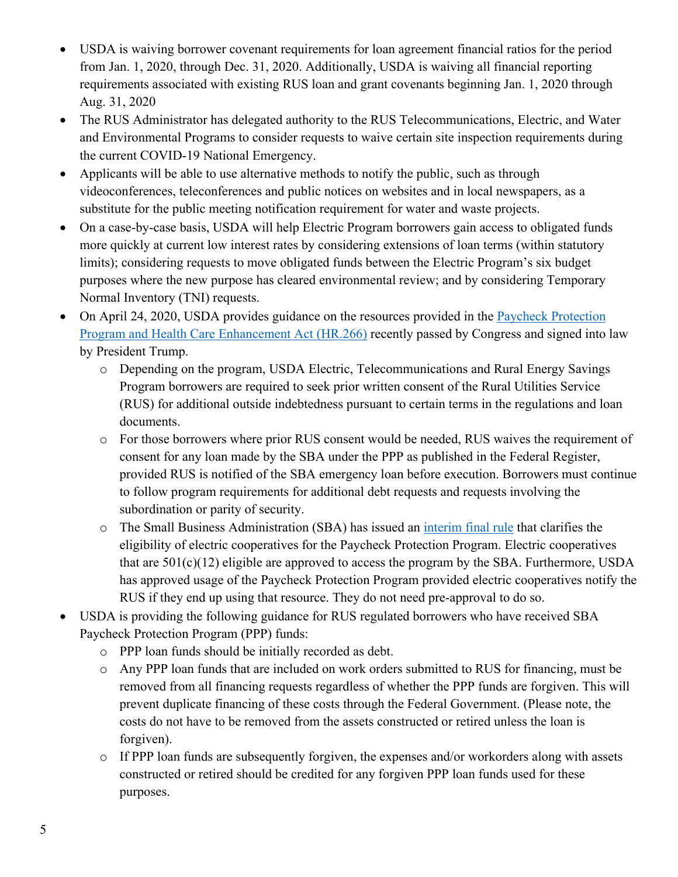- USDA is waiving borrower covenant requirements for loan agreement financial ratios for the period from Jan. 1, 2020, through Dec. 31, 2020. Additionally, USDA is waiving all financial reporting requirements associated with existing RUS loan and grant covenants beginning Jan. 1, 2020 through Aug. 31, 2020
- The RUS Administrator has delegated authority to the RUS Telecommunications, Electric, and Water and Environmental Programs to consider requests to waive certain site inspection requirements during the current COVID-19 National Emergency.
- Applicants will be able to use alternative methods to notify the public, such as through videoconferences, teleconferences and public notices on websites and in local newspapers, as a substitute for the public meeting notification requirement for water and waste projects.
- On a case-by-case basis, USDA will help Electric Program borrowers gain access to obligated funds more quickly at current low interest rates by considering extensions of loan terms (within statutory limits); considering requests to move obligated funds between the Electric Program's six budget purposes where the new purpose has cleared environmental review; and by considering Temporary Normal Inventory (TNI) requests.
- On April 24, 2020, USDA provides guidance on the resources provided in the [Paycheck Protection](https://www.congress.gov/bill/116th-congress/house-bill/266?q=%7B%22search%22%3A%5B%22HR+266%22%5D%7D&s=1&r=1)  [Program and Health Care Enhancement Act \(HR.266\)](https://www.congress.gov/bill/116th-congress/house-bill/266?q=%7B%22search%22%3A%5B%22HR+266%22%5D%7D&s=1&r=1) recently passed by Congress and signed into law by President Trump.
	- o Depending on the program, USDA Electric, Telecommunications and Rural Energy Savings Program borrowers are required to seek prior written consent of the Rural Utilities Service (RUS) for additional outside indebtedness pursuant to certain terms in the regulations and loan documents.
	- o For those borrowers where prior RUS consent would be needed, RUS waives the requirement of consent for any loan made by the SBA under the PPP as published in the Federal Register, provided RUS is notified of the SBA emergency loan before execution. Borrowers must continue to follow program requirements for additional debt requests and requests involving the subordination or parity of security.
	- o The Small Business Administration (SBA) has issued an [interim final rule](https://www.govinfo.gov/content/pkg/FR-2020-05-19/pdf/2020-10674.pdf) that clarifies the eligibility of electric cooperatives for the Paycheck Protection Program. Electric cooperatives that are  $501(c)(12)$  eligible are approved to access the program by the SBA. Furthermore, USDA has approved usage of the Paycheck Protection Program provided electric cooperatives notify the RUS if they end up using that resource. They do not need pre-approval to do so.
- USDA is providing the following guidance for RUS regulated borrowers who have received SBA Paycheck Protection Program (PPP) funds:
	- o PPP loan funds should be initially recorded as debt.
	- o Any PPP loan funds that are included on work orders submitted to RUS for financing, must be removed from all financing requests regardless of whether the PPP funds are forgiven. This will prevent duplicate financing of these costs through the Federal Government. (Please note, the costs do not have to be removed from the assets constructed or retired unless the loan is forgiven).
	- o If PPP loan funds are subsequently forgiven, the expenses and/or workorders along with assets constructed or retired should be credited for any forgiven PPP loan funds used for these purposes.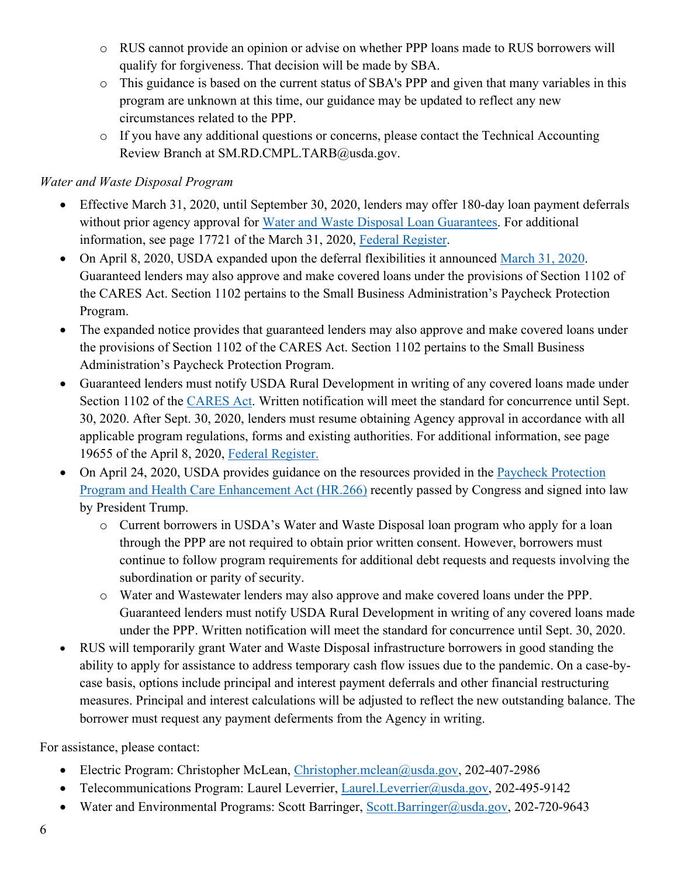- o RUS cannot provide an opinion or advise on whether PPP loans made to RUS borrowers will qualify for forgiveness. That decision will be made by SBA.
- o This guidance is based on the current status of SBA's PPP and given that many variables in this program are unknown at this time, our guidance may be updated to reflect any new circumstances related to the PPP.
- o If you have any additional questions or concerns, please contact the Technical Accounting Review Branch at SM.RD.CMPL.TARB@usda.gov.

### *Water and Waste Disposal Program*

- Effective March 31, 2020, until September 30, 2020, lenders may offer 180-day loan payment deferrals without prior agency approval for [Water and Waste Disposal Loan Guarantees.](https://www.rd.usda.gov/programs-services/water-waste-disposal-loan-guarantees) For additional information, see page 17721 of the March 31, 2020, [Federal Register.](https://www.govinfo.gov/content/pkg/FR-2020-03-31/pdf/2020-06706.pdf)
- On April 8, 2020, USDA expanded upon the deferral flexibilities it announced [March 31, 2020.](https://www.rd.usda.gov/sites/default/files/USDA_RD_SA_COVID19_Guarantee_Loan_Deferral_Payments03312020.pdf) Guaranteed lenders may also approve and make covered loans under the provisions of Section 1102 of the CARES Act. Section 1102 pertains to the Small Business Administration's Paycheck Protection Program.
- The expanded notice provides that guaranteed lenders may also approve and make covered loans under the provisions of Section 1102 of the CARES Act. Section 1102 pertains to the Small Business Administration's Paycheck Protection Program.
- Guaranteed lenders must notify USDA Rural Development in writing of any covered loans made under Section 1102 of the [CARES Act.](https://www.congress.gov/bill/116th-congress/senate-bill/3548/text) Written notification will meet the standard for concurrence until Sept. 30, 2020. After Sept. 30, 2020, lenders must resume obtaining Agency approval in accordance with all applicable program regulations, forms and existing authorities. For additional information, see page 19655 of the April 8, 2020, [Federal Register.](https://www.govinfo.gov/content/pkg/FR-2020-04-08/pdf/2020-07487.pdf)
- On April 24, 2020, USDA provides guidance on the resources provided in the Paycheck Protection [Program and Health Care Enhancement Act \(HR.266\)](https://www.congress.gov/bill/116th-congress/house-bill/266?q=%7B%22search%22%3A%5B%22HR+266%22%5D%7D&s=1&r=1) recently passed by Congress and signed into law by President Trump.
	- o Current borrowers in USDA's Water and Waste Disposal loan program who apply for a loan through the PPP are not required to obtain prior written consent. However, borrowers must continue to follow program requirements for additional debt requests and requests involving the subordination or parity of security.
	- o Water and Wastewater lenders may also approve and make covered loans under the PPP. Guaranteed lenders must notify USDA Rural Development in writing of any covered loans made under the PPP. Written notification will meet the standard for concurrence until Sept. 30, 2020.
- RUS will temporarily grant Water and Waste Disposal infrastructure borrowers in good standing the ability to apply for assistance to address temporary cash flow issues due to the pandemic. On a case-bycase basis, options include principal and interest payment deferrals and other financial restructuring measures. Principal and interest calculations will be adjusted to reflect the new outstanding balance. The borrower must request any payment deferments from the Agency in writing.

For assistance, please contact:

- Electric Program: Christopher McLean, [Christopher.mclean@usda.gov,](mailto:Christopher.mclean@usda.gov) 202-407-2986
- Telecommunications Program: Laurel Leverrier, [Laurel.Leverrier@usda.gov,](mailto:Laurel.Leverrier@usda.gov) 202-495-9142
- Water and Environmental Programs: Scott Barringer, [Scott.Barringer@usda.gov,](mailto:Scott.Barringer@usda.gov) 202-720-9643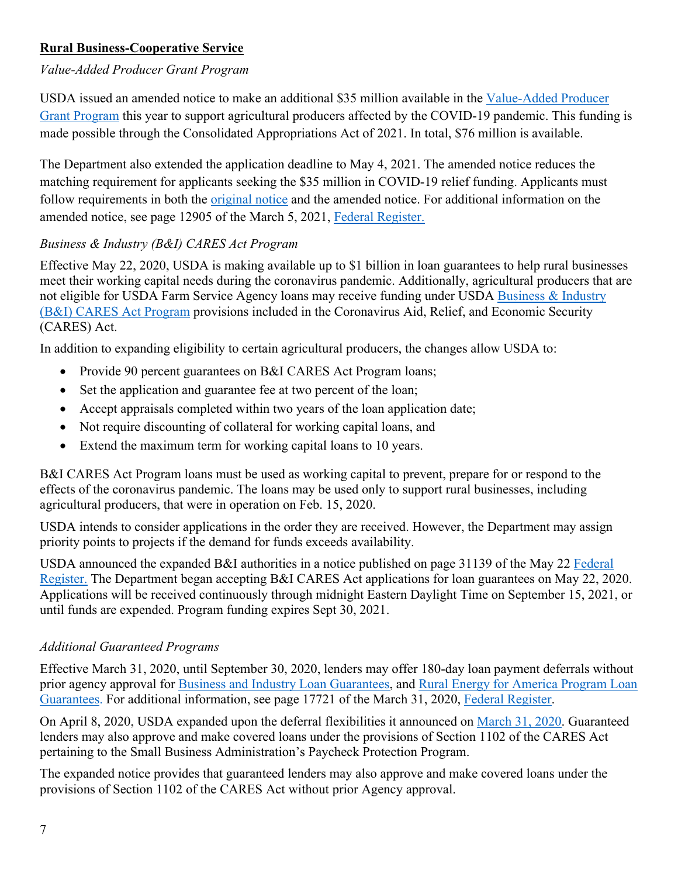### **Rural Business-Cooperative Service**

#### *Value-Added Producer Grant Program*

USDA issued an amended notice to make an additional \$35 million available in the [Value-Added Producer](https://www.rd.usda.gov/programs-services/value-added-producer-grants)  [Grant Program](https://www.rd.usda.gov/programs-services/value-added-producer-grants) this year to support agricultural producers affected by the COVID-19 pandemic. This funding is made possible through the Consolidated Appropriations Act of 2021. In total, \$76 million is available.

The Department also extended the application deadline to May 4, 2021. The amended notice reduces the matching requirement for applicants seeking the \$35 million in COVID-19 relief funding. Applicants must follow requirements in both the *original notice* and the amended notice. For additional information on the amended notice, see page 12905 of the March 5, 2021, Federal Register.

#### *Business & Industry (B&I) CARES Act Program*

Effective May 22, 2020, USDA is making available up to \$1 billion in loan guarantees to help rural businesses meet their working capital needs during the coronavirus pandemic. Additionally, agricultural producers that are not eligible for USDA Farm Service Agency loans may receive funding under USDA [Business & Industry](https://www.rd.usda.gov/programs-services/business-and-industry-cares-act-program)  [\(B&I\) CARES Act Program](https://www.rd.usda.gov/programs-services/business-and-industry-cares-act-program) provisions included in the Coronavirus Aid, Relief, and Economic Security (CARES) Act.

In addition to expanding eligibility to certain agricultural producers, the changes allow USDA to:

- Provide 90 percent guarantees on B&I CARES Act Program loans;
- Set the application and guarantee fee at two percent of the loan;
- Accept appraisals completed within two years of the loan application date;
- Not require discounting of collateral for working capital loans, and
- Extend the maximum term for working capital loans to 10 years.

B&I CARES Act Program loans must be used as working capital to prevent, prepare for or respond to the effects of the coronavirus pandemic. The loans may be used only to support rural businesses, including agricultural producers, that were in operation on Feb. 15, 2020.

USDA intends to consider applications in the order they are received. However, the Department may assign priority points to projects if the demand for funds exceeds availability.

USDA announced the expanded B&I authorities in a notice published on page 31139 of the May 22 [Federal](https://www.govinfo.gov/content/pkg/FR-2020-05-22/pdf/2020-11243.pdf)  [Register.](https://www.govinfo.gov/content/pkg/FR-2020-05-22/pdf/2020-11243.pdf) The Department began accepting B&I CARES Act applications for loan guarantees on May 22, 2020. Applications will be received continuously through midnight Eastern Daylight Time on September 15, 2021, or until funds are expended. Program funding expires Sept 30, 2021.

#### *Additional Guaranteed Programs*

Effective March 31, 2020, until September 30, 2020, lenders may offer 180-day loan payment deferrals without prior agency approval for [Business and Industry Loan Guarantees,](https://www.rd.usda.gov/programs-services/business-industry-loan-guarantees) and [Rural Energy for America Program Loan](https://www.rd.usda.gov/programs-services/rural-energy-america-program-renewable-energy-systems-energy-efficiency)  [Guarantees.](https://www.rd.usda.gov/programs-services/rural-energy-america-program-renewable-energy-systems-energy-efficiency) For additional information, see page 17721 of the March 31, 2020, [Federal Register.](https://www.govinfo.gov/content/pkg/FR-2020-03-31/pdf/2020-06706.pdf)

On April 8, 2020, USDA expanded upon the deferral flexibilities it announced on [March 31, 2020.](https://www.rd.usda.gov/sites/default/files/USDA_RD_SA_COVID19_Guarantee_Loan_Deferral_Payments03312020.pdf) Guaranteed lenders may also approve and make covered loans under the provisions of Section 1102 of the CARES Act pertaining to the Small Business Administration's Paycheck Protection Program.

The expanded notice provides that guaranteed lenders may also approve and make covered loans under the provisions of Section 1102 of the CARES Act without prior Agency approval.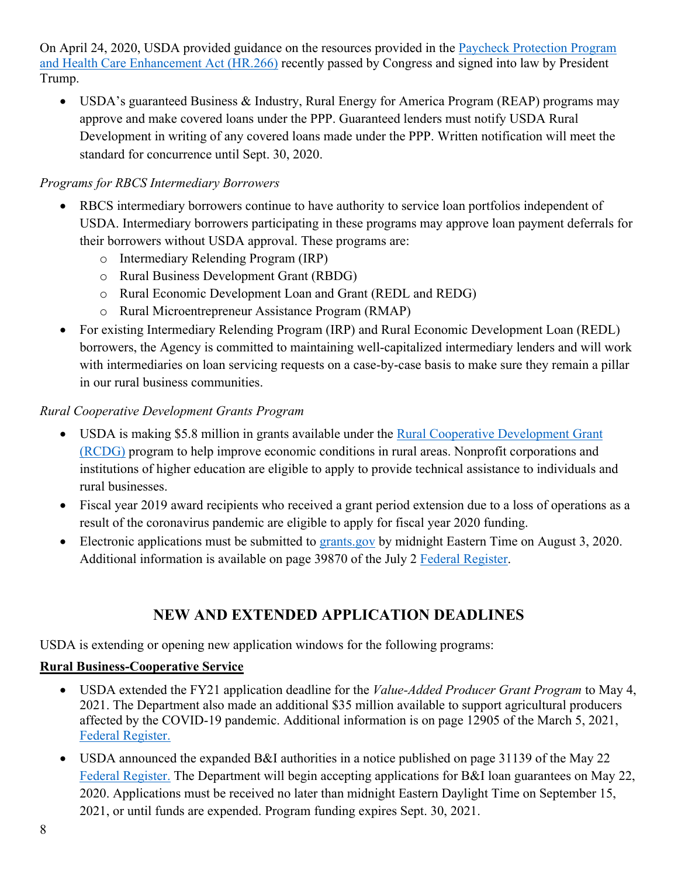On April 24, 2020, USDA provided guidance on the resources provided in the [Paycheck Protection Program](https://www.congress.gov/bill/116th-congress/house-bill/266?q=%7B%22search%22%3A%5B%22HR+266%22%5D%7D&s=1&r=1)  [and Health Care Enhancement Act \(HR.266\)](https://www.congress.gov/bill/116th-congress/house-bill/266?q=%7B%22search%22%3A%5B%22HR+266%22%5D%7D&s=1&r=1) recently passed by Congress and signed into law by President Trump.

• USDA's guaranteed Business & Industry, Rural Energy for America Program (REAP) programs may approve and make covered loans under the PPP. Guaranteed lenders must notify USDA Rural Development in writing of any covered loans made under the PPP. Written notification will meet the standard for concurrence until Sept. 30, 2020.

### *Programs for RBCS Intermediary Borrowers*

- RBCS intermediary borrowers continue to have authority to service loan portfolios independent of USDA. Intermediary borrowers participating in these programs may approve loan payment deferrals for their borrowers without USDA approval. These programs are:
	- o Intermediary Relending Program (IRP)
	- o Rural Business Development Grant (RBDG)
	- o Rural Economic Development Loan and Grant (REDL and REDG)
	- o Rural Microentrepreneur Assistance Program (RMAP)
- For existing Intermediary Relending Program (IRP) and Rural Economic Development Loan (REDL) borrowers, the Agency is committed to maintaining well-capitalized intermediary lenders and will work with intermediaries on loan servicing requests on a case-by-case basis to make sure they remain a pillar in our rural business communities.

### *Rural Cooperative Development Grants Program*

- USDA is making \$5.8 million in grants available under the Rural Cooperative Development Grant [\(RCDG\)](https://www.rd.usda.gov/programs-services/rural-cooperative-development-grant-program) program to help improve economic conditions in rural areas. Nonprofit corporations and institutions of higher education are eligible to apply to provide technical assistance to individuals and rural businesses.
- Fiscal year 2019 award recipients who received a grant period extension due to a loss of operations as a result of the coronavirus pandemic are eligible to apply for fiscal year 2020 funding.
- Electronic applications must be submitted to [grants.gov](https://www.grants.gov/web/grants/search-grants.html?keywords=RBCS-RCDG-2020) by midnight Eastern Time on August 3, 2020. Additional information is available on page 39870 of the July 2 [Federal Register.](https://www.govinfo.gov/content/pkg/FR-2020-07-02/pdf/2020-14286.pdf)

# **NEW AND EXTENDED APPLICATION DEADLINES**

USDA is extending or opening new application windows for the following programs:

## **Rural Business-Cooperative Service**

- USDA extended the FY21 application deadline for the *Value-Added Producer Grant Program* to May 4, 2021. The Department also made an additional \$35 million available to support agricultural producers affected by the COVID-19 pandemic. Additional information is on page 12905 of the March 5, 2021, [Federal Register.](https://www.govinfo.gov/content/pkg/FR-2021-03-05/pdf/2021-04687.pdf)
- USDA announced the expanded B&I authorities in a notice published on page 31139 of the May 22 [Federal Register.](https://www.govinfo.gov/content/pkg/FR-2020-05-22/pdf/2020-11243.pdf) The Department will begin accepting applications for B&I loan guarantees on May 22, 2020. Applications must be received no later than midnight Eastern Daylight Time on September 15, 2021, or until funds are expended. Program funding expires Sept. 30, 2021.